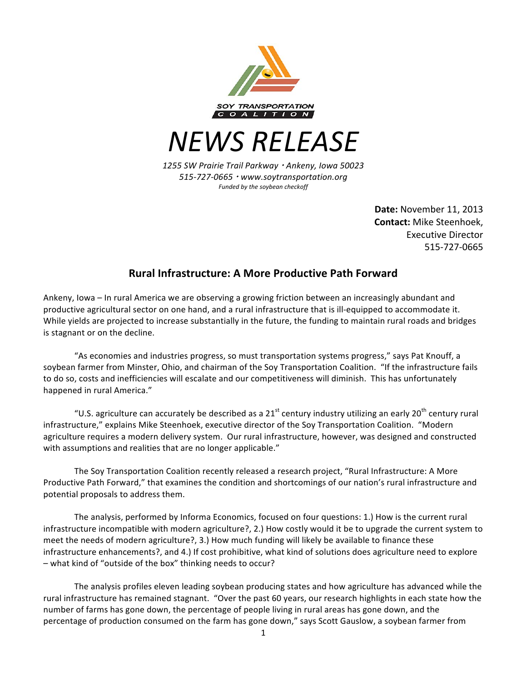

*NEWS RELEASE*

*1255 SW Prairie Trail Parkway* ! *Ankeny, Iowa 50023 515-727-0665* ! *www.soytransportation.org Funded by the soybean checkoff*

> **Date:** November 11, 2013 **Contact:** Mike Steenhoek, Executive Director 515-727-0665

## **Rural Infrastructure: A More Productive Path Forward**

Ankeny, Iowa - In rural America we are observing a growing friction between an increasingly abundant and productive agricultural sector on one hand, and a rural infrastructure that is ill-equipped to accommodate it. While yields are projected to increase substantially in the future, the funding to maintain rural roads and bridges is stagnant or on the decline.

"As economies and industries progress, so must transportation systems progress," says Pat Knouff, a soybean farmer from Minster, Ohio, and chairman of the Soy Transportation Coalition. "If the infrastructure fails to do so, costs and inefficiencies will escalate and our competitiveness will diminish. This has unfortunately happened in rural America."

"U.S. agriculture can accurately be described as a 21<sup>st</sup> century industry utilizing an early 20<sup>th</sup> century rural infrastructure," explains Mike Steenhoek, executive director of the Soy Transportation Coalition. "Modern agriculture requires a modern delivery system. Our rural infrastructure, however, was designed and constructed with assumptions and realities that are no longer applicable."

The Soy Transportation Coalition recently released a research project, "Rural Infrastructure: A More Productive Path Forward," that examines the condition and shortcomings of our nation's rural infrastructure and potential proposals to address them.

The analysis, performed by Informa Economics, focused on four questions: 1.) How is the current rural infrastructure incompatible with modern agriculture?, 2.) How costly would it be to upgrade the current system to meet the needs of modern agriculture?, 3.) How much funding will likely be available to finance these infrastructure enhancements?, and 4.) If cost prohibitive, what kind of solutions does agriculture need to explore – what kind of "outside of the box" thinking needs to occur?

The analysis profiles eleven leading soybean producing states and how agriculture has advanced while the rural infrastructure has remained stagnant. "Over the past 60 years, our research highlights in each state how the number of farms has gone down, the percentage of people living in rural areas has gone down, and the percentage of production consumed on the farm has gone down," says Scott Gauslow, a soybean farmer from